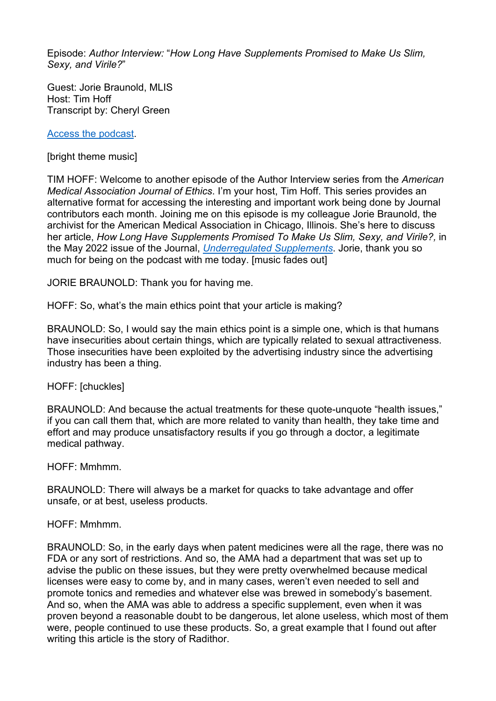Episode: *Author Interview:* "*How Long Have Supplements Promised to Make Us Slim, Sexy, and Virile?*"

Guest: Jorie Braunold, MLIS Host: Tim Hoff Transcript by: Cheryl Green

[Access the podcast.](https://journalofethics.ama-assn.org/podcast/author-interview-how-long-have-supplements-promised-make-us-slim-sexy-and-virile)

[bright theme music]

TIM HOFF: Welcome to another episode of the Author Interview series from the *American Medical Association Journal of Ethics*. I'm your host, Tim Hoff. This series provides an alternative format for accessing the interesting and important work being done by Journal contributors each month. Joining me on this episode is my colleague Jorie Braunold, the archivist for the American Medical Association in Chicago, Illinois. She's here to discuss her article, *How Long Have Supplements Promised To Make Us Slim, Sexy, and Virile?,* in the May 2022 issue of the Journal, *[Underregulated Supplements](https://journalofethics.ama-assn.org/issue/unregulated-supplements)*. Jorie, thank you so much for being on the podcast with me today. [music fades out]

JORIE BRAUNOLD: Thank you for having me.

HOFF: So, what's the main ethics point that your article is making?

BRAUNOLD: So, I would say the main ethics point is a simple one, which is that humans have insecurities about certain things, which are typically related to sexual attractiveness. Those insecurities have been exploited by the advertising industry since the advertising industry has been a thing.

HOFF: [chuckles]

BRAUNOLD: And because the actual treatments for these quote-unquote "health issues," if you can call them that, which are more related to vanity than health, they take time and effort and may produce unsatisfactory results if you go through a doctor, a legitimate medical pathway.

HOFF: Mmhmm.

BRAUNOLD: There will always be a market for quacks to take advantage and offer unsafe, or at best, useless products.

#### HOFF: Mmhmm.

BRAUNOLD: So, in the early days when patent medicines were all the rage, there was no FDA or any sort of restrictions. And so, the AMA had a department that was set up to advise the public on these issues, but they were pretty overwhelmed because medical licenses were easy to come by, and in many cases, weren't even needed to sell and promote tonics and remedies and whatever else was brewed in somebody's basement. And so, when the AMA was able to address a specific supplement, even when it was proven beyond a reasonable doubt to be dangerous, let alone useless, which most of them were, people continued to use these products. So, a great example that I found out after writing this article is the story of Radithor.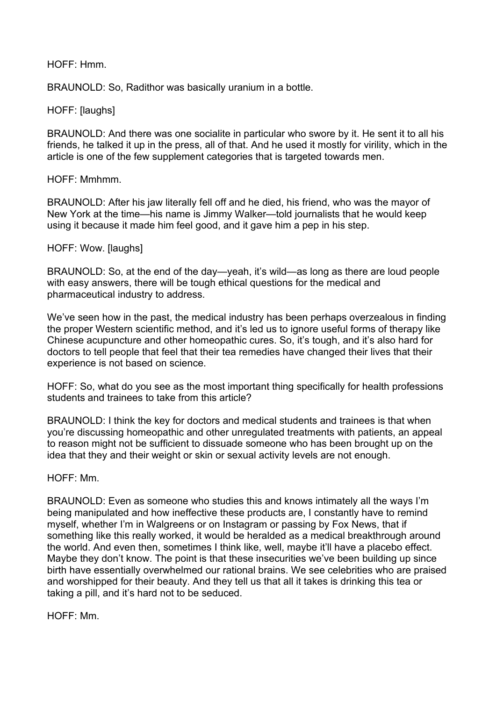## HOFF: Hmm.

BRAUNOLD: So, Radithor was basically uranium in a bottle.

# HOFF: [laughs]

BRAUNOLD: And there was one socialite in particular who swore by it. He sent it to all his friends, he talked it up in the press, all of that. And he used it mostly for virility, which in the article is one of the few supplement categories that is targeted towards men.

## HOFF: Mmhmm.

BRAUNOLD: After his jaw literally fell off and he died, his friend, who was the mayor of New York at the time—his name is Jimmy Walker—told journalists that he would keep using it because it made him feel good, and it gave him a pep in his step.

# HOFF: Wow. [laughs]

BRAUNOLD: So, at the end of the day—yeah, it's wild—as long as there are loud people with easy answers, there will be tough ethical questions for the medical and pharmaceutical industry to address.

We've seen how in the past, the medical industry has been perhaps overzealous in finding the proper Western scientific method, and it's led us to ignore useful forms of therapy like Chinese acupuncture and other homeopathic cures. So, it's tough, and it's also hard for doctors to tell people that feel that their tea remedies have changed their lives that their experience is not based on science.

HOFF: So, what do you see as the most important thing specifically for health professions students and trainees to take from this article?

BRAUNOLD: I think the key for doctors and medical students and trainees is that when you're discussing homeopathic and other unregulated treatments with patients, an appeal to reason might not be sufficient to dissuade someone who has been brought up on the idea that they and their weight or skin or sexual activity levels are not enough.

## HOFF: Mm.

BRAUNOLD: Even as someone who studies this and knows intimately all the ways I'm being manipulated and how ineffective these products are, I constantly have to remind myself, whether I'm in Walgreens or on Instagram or passing by Fox News, that if something like this really worked, it would be heralded as a medical breakthrough around the world. And even then, sometimes I think like, well, maybe it'll have a placebo effect. Maybe they don't know. The point is that these insecurities we've been building up since birth have essentially overwhelmed our rational brains. We see celebrities who are praised and worshipped for their beauty. And they tell us that all it takes is drinking this tea or taking a pill, and it's hard not to be seduced.

HOFF: Mm.